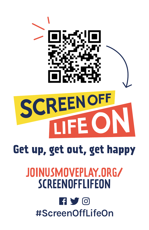

# Get up, get out, get happy

# JOINUSMOVEPLAY.ORG/ **SCREENOFFLIFEON**

## $\blacksquare$  y  $\odot$ #ScreenOffLifeOn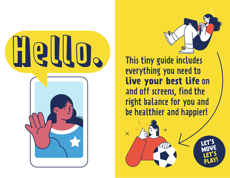

This tiny guide includes everything you need to **live your best life** on and off screens, find the right balance for you and be healthier and happier!

 $\times$ 

**LET'S MOVE LET'S PLAY!**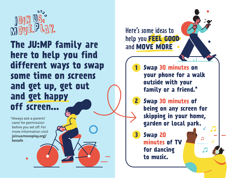

**The JU:MP family are here to help you find different ways to swap some time on screens and get up, get out and get happy off screen...**

\*Always ask a parent/ carer for permission before you set off. For more information visit joinusmoveplay.org/ besafe

**Swap 30 minutes on your phone for a walk outside with your family or a friend.\* Swap 30 minutes of 2 being on any screen for skipping in your home, garden or local park. Swap 20 minutes of TV for dancing to music. 1 3** Here's some ideas to help you **FEEL GOOD** and **MOVE MORE**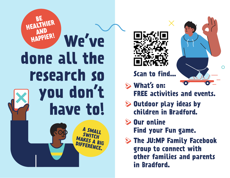





- **What's on:** 
	- **FREE activities and events.**
- **Outdoor play ideas by children in Bradford.**
- **Our online Find your Fun game.**
- **The JU:MP Family Facebook group to connect with other families and parents in Bradford.**